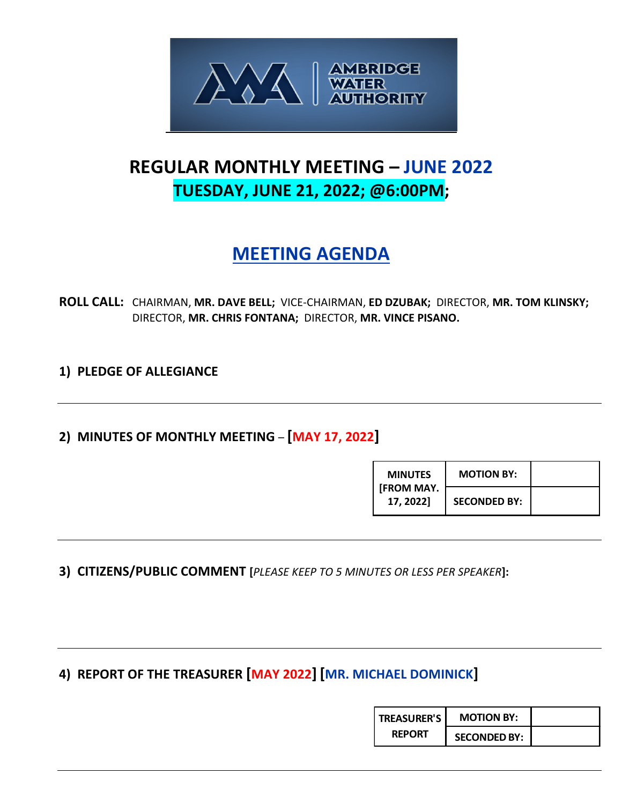

# **REGULAR MONTHLY MEETING – JUNE 2022 TUESDAY, JUNE 21, 2022; @6:00PM;**

# **MEETING AGENDA**

**ROLL CALL:** CHAIRMAN, **MR. DAVE BELL;** VICE-CHAIRMAN, **ED DZUBAK;** DIRECTOR, **MR. TOM KLINSKY;**  DIRECTOR, **MR. CHRIS FONTANA;** DIRECTOR, **MR. VINCE PISANO.**

**1) PLEDGE OF ALLEGIANCE**

## **2) MINUTES OF MONTHLY MEETING** – **[MAY 17, 2022]**

| <b>MINUTES</b>                 | <b>MOTION BY:</b>   |  |
|--------------------------------|---------------------|--|
| <b>IFROM MAY.</b><br>17, 2022] | <b>SECONDED BY:</b> |  |

**3) CITIZENS/PUBLIC COMMENT [***PLEASE KEEP TO 5 MINUTES OR LESS PER SPEAKER***]:**

**4) REPORT OF THE TREASURER [MAY 2022] [MR. MICHAEL DOMINICK]**

| <b>TREASURER'S</b> | <b>MOTION BY:</b>   |  |
|--------------------|---------------------|--|
| <b>REPORT</b>      | <b>SECONDED BY:</b> |  |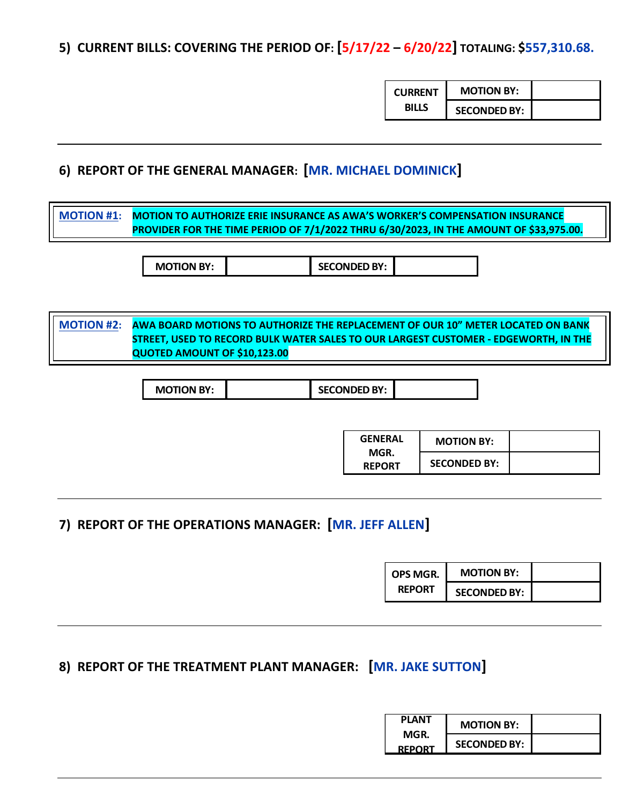**5) CURRENT BILLS: COVERING THE PERIOD OF: [5/17/22 – 6/20/22] TOTALING: \$557,310.68.**

| <b>CURRENT</b> | <b>MOTION BY:</b>   |  |
|----------------|---------------------|--|
| <b>BILLS</b>   | <b>SECONDED BY:</b> |  |

### **6) REPORT OF THE GENERAL MANAGER: [MR. MICHAEL DOMINICK]**

**MOTION #1: MOTION TO AUTHORIZE ERIE INSURANCE AS AWA'S WORKER'S COMPENSATION INSURANCE PROVIDER FOR THE TIME PERIOD OF 7/1/2022 THRU 6/30/2023, IN THE AMOUNT OF \$33,975.00.**

**MOTION BY: SECONDED BY:** 

**MOTION #2: AWA BOARD MOTIONS TO AUTHORIZE THE REPLACEMENT OF OUR 10" METER LOCATED ON BANK STREET, USED TO RECORD BULK WATER SALES TO OUR LARGEST CUSTOMER - EDGEWORTH, IN THE QUOTED AMOUNT OF \$10,123.00**

| <b>GENERAL</b><br>MGR.<br><b>REPORT</b> | <b>MOTION BY:</b>   |  |
|-----------------------------------------|---------------------|--|
|                                         | <b>SECONDED BY:</b> |  |

## **7) REPORT OF THE OPERATIONS MANAGER: [MR. JEFF ALLEN]**

| OPS MGR.      | <b>MOTION BY:</b>   |  |
|---------------|---------------------|--|
| <b>REPORT</b> | <b>SECONDED BY:</b> |  |

### **8) REPORT OF THE TREATMENT PLANT MANAGER: [MR. JAKE SUTTON]**

| <b>PLANT</b>  | <b>MOTION BY:</b>   |  |
|---------------|---------------------|--|
| MGR.          |                     |  |
| <b>REPORT</b> | <b>SECONDED BY:</b> |  |